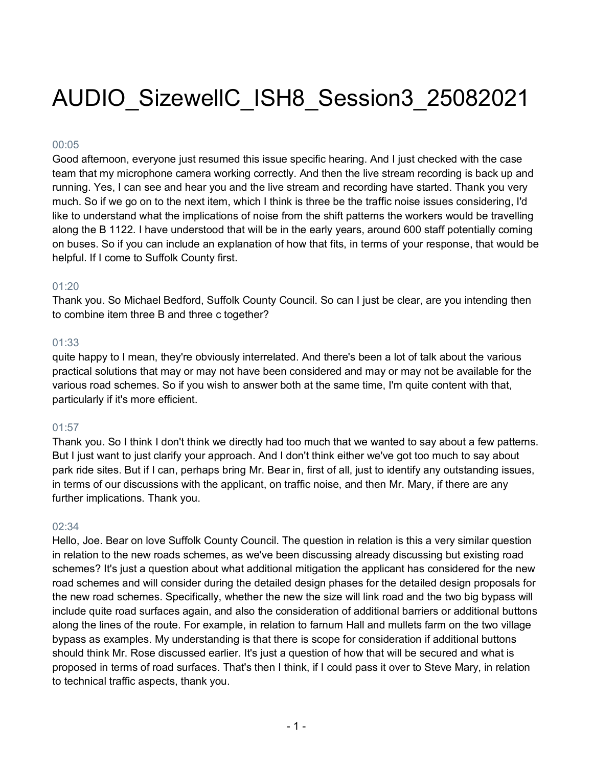# AUDIO\_SizewellC\_ISH8\_Session3\_25082021

## 00:05

Good afternoon, everyone just resumed this issue specific hearing. And I just checked with the case team that my microphone camera working correctly. And then the live stream recording is back up and running. Yes, I can see and hear you and the live stream and recording have started. Thank you very much. So if we go on to the next item, which I think is three be the traffic noise issues considering, I'd like to understand what the implications of noise from the shift patterns the workers would be travelling along the B 1122. I have understood that will be in the early years, around 600 staff potentially coming on buses. So if you can include an explanation of how that fits, in terms of your response, that would be helpful. If I come to Suffolk County first.

## 01:20

Thank you. So Michael Bedford, Suffolk County Council. So can I just be clear, are you intending then to combine item three B and three c together?

## 01:33

quite happy to I mean, they're obviously interrelated. And there's been a lot of talk about the various practical solutions that may or may not have been considered and may or may not be available for the various road schemes. So if you wish to answer both at the same time, I'm quite content with that, particularly if it's more efficient.

## 01:57

Thank you. So I think I don't think we directly had too much that we wanted to say about a few patterns. But I just want to just clarify your approach. And I don't think either we've got too much to say about park ride sites. But if I can, perhaps bring Mr. Bear in, first of all, just to identify any outstanding issues, in terms of our discussions with the applicant, on traffic noise, and then Mr. Mary, if there are any further implications. Thank you.

# 02:34

Hello, Joe. Bear on love Suffolk County Council. The question in relation is this a very similar question in relation to the new roads schemes, as we've been discussing already discussing but existing road schemes? It's just a question about what additional mitigation the applicant has considered for the new road schemes and will consider during the detailed design phases for the detailed design proposals for the new road schemes. Specifically, whether the new the size will link road and the two big bypass will include quite road surfaces again, and also the consideration of additional barriers or additional buttons along the lines of the route. For example, in relation to farnum Hall and mullets farm on the two village bypass as examples. My understanding is that there is scope for consideration if additional buttons should think Mr. Rose discussed earlier. It's just a question of how that will be secured and what is proposed in terms of road surfaces. That's then I think, if I could pass it over to Steve Mary, in relation to technical traffic aspects, thank you.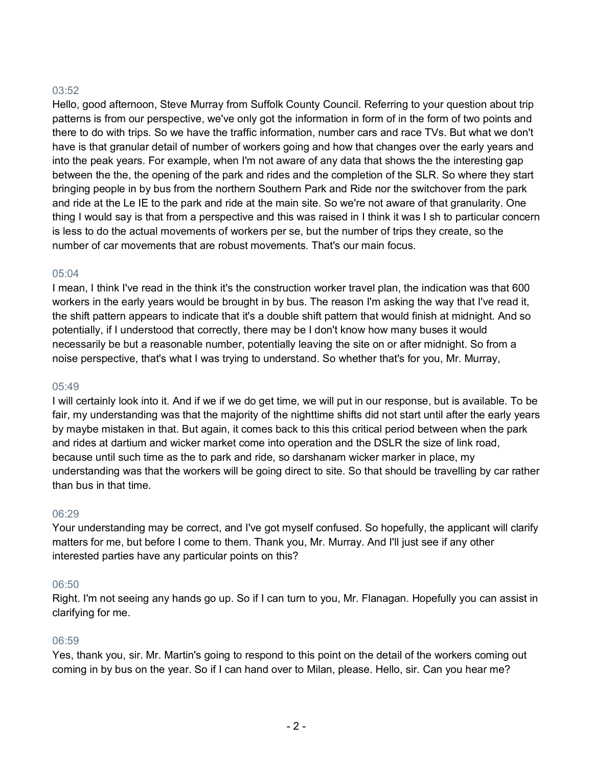# 03:52

Hello, good afternoon, Steve Murray from Suffolk County Council. Referring to your question about trip patterns is from our perspective, we've only got the information in form of in the form of two points and there to do with trips. So we have the traffic information, number cars and race TVs. But what we don't have is that granular detail of number of workers going and how that changes over the early years and into the peak years. For example, when I'm not aware of any data that shows the the interesting gap between the the, the opening of the park and rides and the completion of the SLR. So where they start bringing people in by bus from the northern Southern Park and Ride nor the switchover from the park and ride at the Le IE to the park and ride at the main site. So we're not aware of that granularity. One thing I would say is that from a perspective and this was raised in I think it was I sh to particular concern is less to do the actual movements of workers per se, but the number of trips they create, so the number of car movements that are robust movements. That's our main focus.

## 05:04

I mean, I think I've read in the think it's the construction worker travel plan, the indication was that 600 workers in the early years would be brought in by bus. The reason I'm asking the way that I've read it, the shift pattern appears to indicate that it's a double shift pattern that would finish at midnight. And so potentially, if I understood that correctly, there may be I don't know how many buses it would necessarily be but a reasonable number, potentially leaving the site on or after midnight. So from a noise perspective, that's what I was trying to understand. So whether that's for you, Mr. Murray,

## 05:49

I will certainly look into it. And if we if we do get time, we will put in our response, but is available. To be fair, my understanding was that the majority of the nighttime shifts did not start until after the early years by maybe mistaken in that. But again, it comes back to this this critical period between when the park and rides at dartium and wicker market come into operation and the DSLR the size of link road, because until such time as the to park and ride, so darshanam wicker marker in place, my understanding was that the workers will be going direct to site. So that should be travelling by car rather than bus in that time.

## 06:29

Your understanding may be correct, and I've got myself confused. So hopefully, the applicant will clarify matters for me, but before I come to them. Thank you, Mr. Murray. And I'll just see if any other interested parties have any particular points on this?

## 06:50

Right. I'm not seeing any hands go up. So if I can turn to you, Mr. Flanagan. Hopefully you can assist in clarifying for me.

## 06:59

Yes, thank you, sir. Mr. Martin's going to respond to this point on the detail of the workers coming out coming in by bus on the year. So if I can hand over to Milan, please. Hello, sir. Can you hear me?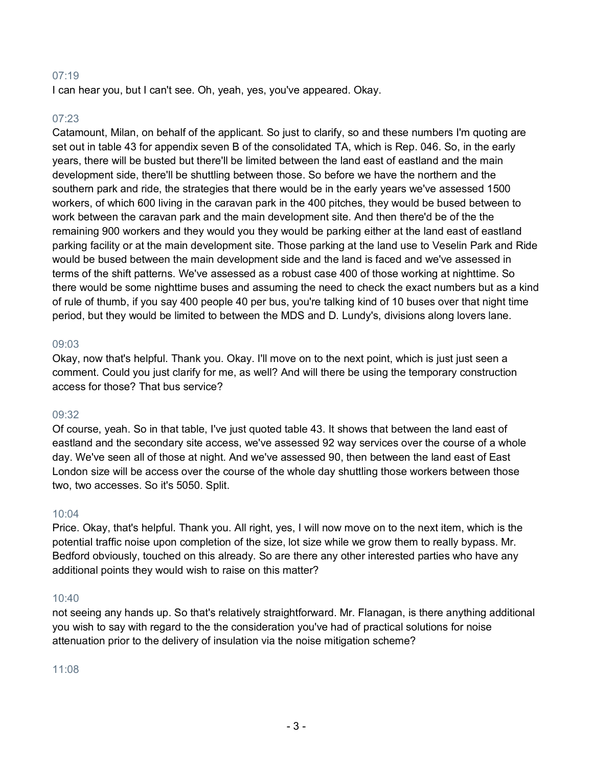## 07:19

I can hear you, but I can't see. Oh, yeah, yes, you've appeared. Okay.

## 07:23

Catamount, Milan, on behalf of the applicant. So just to clarify, so and these numbers I'm quoting are set out in table 43 for appendix seven B of the consolidated TA, which is Rep. 046. So, in the early years, there will be busted but there'll be limited between the land east of eastland and the main development side, there'll be shuttling between those. So before we have the northern and the southern park and ride, the strategies that there would be in the early years we've assessed 1500 workers, of which 600 living in the caravan park in the 400 pitches, they would be bused between to work between the caravan park and the main development site. And then there'd be of the the remaining 900 workers and they would you they would be parking either at the land east of eastland parking facility or at the main development site. Those parking at the land use to Veselin Park and Ride would be bused between the main development side and the land is faced and we've assessed in terms of the shift patterns. We've assessed as a robust case 400 of those working at nighttime. So there would be some nighttime buses and assuming the need to check the exact numbers but as a kind of rule of thumb, if you say 400 people 40 per bus, you're talking kind of 10 buses over that night time period, but they would be limited to between the MDS and D. Lundy's, divisions along lovers lane.

## 09:03

Okay, now that's helpful. Thank you. Okay. I'll move on to the next point, which is just just seen a comment. Could you just clarify for me, as well? And will there be using the temporary construction access for those? That bus service?

## 09:32

Of course, yeah. So in that table, I've just quoted table 43. It shows that between the land east of eastland and the secondary site access, we've assessed 92 way services over the course of a whole day. We've seen all of those at night. And we've assessed 90, then between the land east of East London size will be access over the course of the whole day shuttling those workers between those two, two accesses. So it's 5050. Split.

## 10:04

Price. Okay, that's helpful. Thank you. All right, yes, I will now move on to the next item, which is the potential traffic noise upon completion of the size, lot size while we grow them to really bypass. Mr. Bedford obviously, touched on this already. So are there any other interested parties who have any additional points they would wish to raise on this matter?

## 10:40

not seeing any hands up. So that's relatively straightforward. Mr. Flanagan, is there anything additional you wish to say with regard to the the consideration you've had of practical solutions for noise attenuation prior to the delivery of insulation via the noise mitigation scheme?

11:08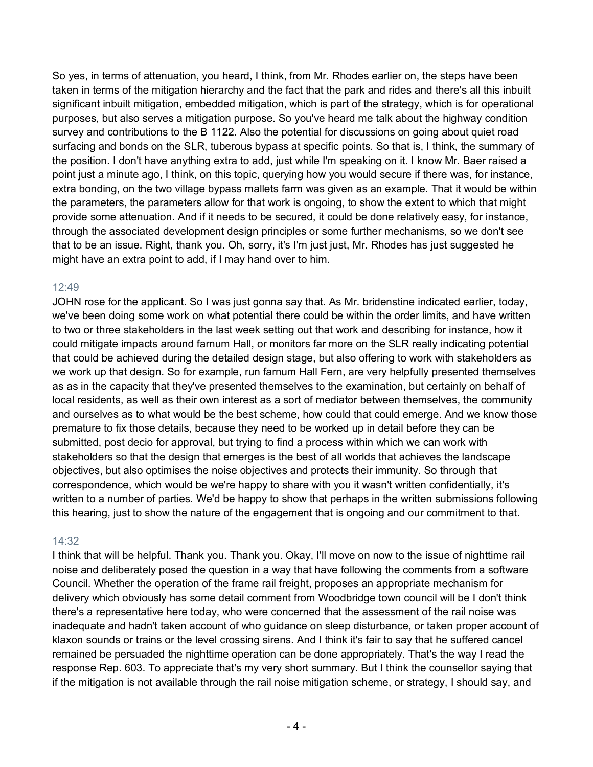So yes, in terms of attenuation, you heard, I think, from Mr. Rhodes earlier on, the steps have been taken in terms of the mitigation hierarchy and the fact that the park and rides and there's all this inbuilt significant inbuilt mitigation, embedded mitigation, which is part of the strategy, which is for operational purposes, but also serves a mitigation purpose. So you've heard me talk about the highway condition survey and contributions to the B 1122. Also the potential for discussions on going about quiet road surfacing and bonds on the SLR, tuberous bypass at specific points. So that is, I think, the summary of the position. I don't have anything extra to add, just while I'm speaking on it. I know Mr. Baer raised a point just a minute ago, I think, on this topic, querying how you would secure if there was, for instance, extra bonding, on the two village bypass mallets farm was given as an example. That it would be within the parameters, the parameters allow for that work is ongoing, to show the extent to which that might provide some attenuation. And if it needs to be secured, it could be done relatively easy, for instance, through the associated development design principles or some further mechanisms, so we don't see that to be an issue. Right, thank you. Oh, sorry, it's I'm just just, Mr. Rhodes has just suggested he might have an extra point to add, if I may hand over to him.

# 12:49

JOHN rose for the applicant. So I was just gonna say that. As Mr. bridenstine indicated earlier, today, we've been doing some work on what potential there could be within the order limits, and have written to two or three stakeholders in the last week setting out that work and describing for instance, how it could mitigate impacts around farnum Hall, or monitors far more on the SLR really indicating potential that could be achieved during the detailed design stage, but also offering to work with stakeholders as we work up that design. So for example, run farnum Hall Fern, are very helpfully presented themselves as as in the capacity that they've presented themselves to the examination, but certainly on behalf of local residents, as well as their own interest as a sort of mediator between themselves, the community and ourselves as to what would be the best scheme, how could that could emerge. And we know those premature to fix those details, because they need to be worked up in detail before they can be submitted, post decio for approval, but trying to find a process within which we can work with stakeholders so that the design that emerges is the best of all worlds that achieves the landscape objectives, but also optimises the noise objectives and protects their immunity. So through that correspondence, which would be we're happy to share with you it wasn't written confidentially, it's written to a number of parties. We'd be happy to show that perhaps in the written submissions following this hearing, just to show the nature of the engagement that is ongoing and our commitment to that.

# 14:32

I think that will be helpful. Thank you. Thank you. Okay, I'll move on now to the issue of nighttime rail noise and deliberately posed the question in a way that have following the comments from a software Council. Whether the operation of the frame rail freight, proposes an appropriate mechanism for delivery which obviously has some detail comment from Woodbridge town council will be I don't think there's a representative here today, who were concerned that the assessment of the rail noise was inadequate and hadn't taken account of who guidance on sleep disturbance, or taken proper account of klaxon sounds or trains or the level crossing sirens. And I think it's fair to say that he suffered cancel remained be persuaded the nighttime operation can be done appropriately. That's the way I read the response Rep. 603. To appreciate that's my very short summary. But I think the counsellor saying that if the mitigation is not available through the rail noise mitigation scheme, or strategy, I should say, and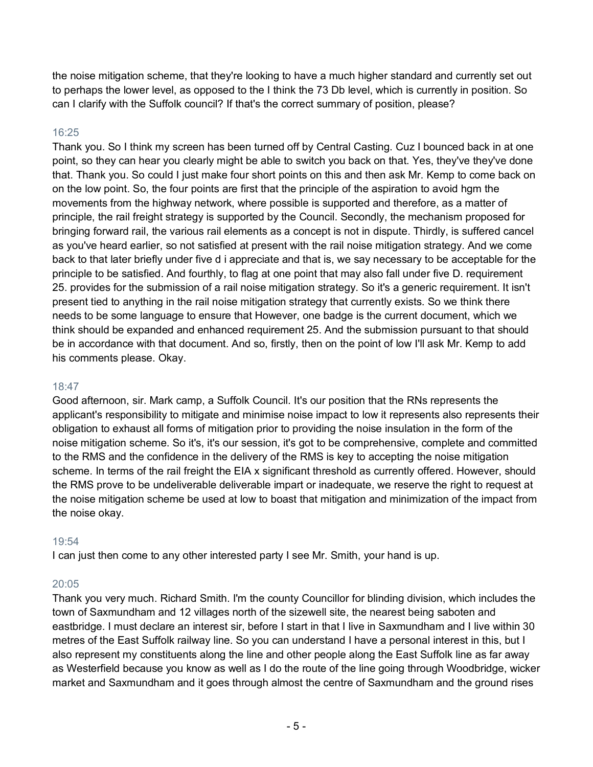the noise mitigation scheme, that they're looking to have a much higher standard and currently set out to perhaps the lower level, as opposed to the I think the 73 Db level, which is currently in position. So can I clarify with the Suffolk council? If that's the correct summary of position, please?

# 16:25

Thank you. So I think my screen has been turned off by Central Casting. Cuz I bounced back in at one point, so they can hear you clearly might be able to switch you back on that. Yes, they've they've done that. Thank you. So could I just make four short points on this and then ask Mr. Kemp to come back on on the low point. So, the four points are first that the principle of the aspiration to avoid hgm the movements from the highway network, where possible is supported and therefore, as a matter of principle, the rail freight strategy is supported by the Council. Secondly, the mechanism proposed for bringing forward rail, the various rail elements as a concept is not in dispute. Thirdly, is suffered cancel as you've heard earlier, so not satisfied at present with the rail noise mitigation strategy. And we come back to that later briefly under five d i appreciate and that is, we say necessary to be acceptable for the principle to be satisfied. And fourthly, to flag at one point that may also fall under five D. requirement 25. provides for the submission of a rail noise mitigation strategy. So it's a generic requirement. It isn't present tied to anything in the rail noise mitigation strategy that currently exists. So we think there needs to be some language to ensure that However, one badge is the current document, which we think should be expanded and enhanced requirement 25. And the submission pursuant to that should be in accordance with that document. And so, firstly, then on the point of low I'll ask Mr. Kemp to add his comments please. Okay.

# 18:47

Good afternoon, sir. Mark camp, a Suffolk Council. It's our position that the RNs represents the applicant's responsibility to mitigate and minimise noise impact to low it represents also represents their obligation to exhaust all forms of mitigation prior to providing the noise insulation in the form of the noise mitigation scheme. So it's, it's our session, it's got to be comprehensive, complete and committed to the RMS and the confidence in the delivery of the RMS is key to accepting the noise mitigation scheme. In terms of the rail freight the EIA x significant threshold as currently offered. However, should the RMS prove to be undeliverable deliverable impart or inadequate, we reserve the right to request at the noise mitigation scheme be used at low to boast that mitigation and minimization of the impact from the noise okay.

## 19:54

I can just then come to any other interested party I see Mr. Smith, your hand is up.

## 20:05

Thank you very much. Richard Smith. I'm the county Councillor for blinding division, which includes the town of Saxmundham and 12 villages north of the sizewell site, the nearest being saboten and eastbridge. I must declare an interest sir, before I start in that I live in Saxmundham and I live within 30 metres of the East Suffolk railway line. So you can understand I have a personal interest in this, but I also represent my constituents along the line and other people along the East Suffolk line as far away as Westerfield because you know as well as I do the route of the line going through Woodbridge, wicker market and Saxmundham and it goes through almost the centre of Saxmundham and the ground rises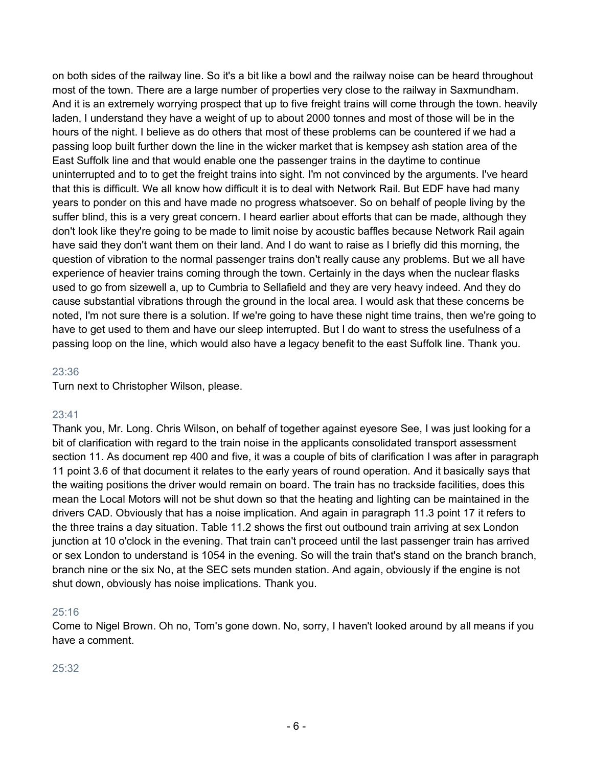on both sides of the railway line. So it's a bit like a bowl and the railway noise can be heard throughout most of the town. There are a large number of properties very close to the railway in Saxmundham. And it is an extremely worrying prospect that up to five freight trains will come through the town. heavily laden, I understand they have a weight of up to about 2000 tonnes and most of those will be in the hours of the night. I believe as do others that most of these problems can be countered if we had a passing loop built further down the line in the wicker market that is kempsey ash station area of the East Suffolk line and that would enable one the passenger trains in the daytime to continue uninterrupted and to to get the freight trains into sight. I'm not convinced by the arguments. I've heard that this is difficult. We all know how difficult it is to deal with Network Rail. But EDF have had many years to ponder on this and have made no progress whatsoever. So on behalf of people living by the suffer blind, this is a very great concern. I heard earlier about efforts that can be made, although they don't look like they're going to be made to limit noise by acoustic baffles because Network Rail again have said they don't want them on their land. And I do want to raise as I briefly did this morning, the question of vibration to the normal passenger trains don't really cause any problems. But we all have experience of heavier trains coming through the town. Certainly in the days when the nuclear flasks used to go from sizewell a, up to Cumbria to Sellafield and they are very heavy indeed. And they do cause substantial vibrations through the ground in the local area. I would ask that these concerns be noted, I'm not sure there is a solution. If we're going to have these night time trains, then we're going to have to get used to them and have our sleep interrupted. But I do want to stress the usefulness of a passing loop on the line, which would also have a legacy benefit to the east Suffolk line. Thank you.

## 23:36

Turn next to Christopher Wilson, please.

## 23:41

Thank you, Mr. Long. Chris Wilson, on behalf of together against eyesore See, I was just looking for a bit of clarification with regard to the train noise in the applicants consolidated transport assessment section 11. As document rep 400 and five, it was a couple of bits of clarification I was after in paragraph 11 point 3.6 of that document it relates to the early years of round operation. And it basically says that the waiting positions the driver would remain on board. The train has no trackside facilities, does this mean the Local Motors will not be shut down so that the heating and lighting can be maintained in the drivers CAD. Obviously that has a noise implication. And again in paragraph 11.3 point 17 it refers to the three trains a day situation. Table 11.2 shows the first out outbound train arriving at sex London junction at 10 o'clock in the evening. That train can't proceed until the last passenger train has arrived or sex London to understand is 1054 in the evening. So will the train that's stand on the branch branch, branch nine or the six No, at the SEC sets munden station. And again, obviously if the engine is not shut down, obviously has noise implications. Thank you.

## 25:16

Come to Nigel Brown. Oh no, Tom's gone down. No, sorry, I haven't looked around by all means if you have a comment.

## 25:32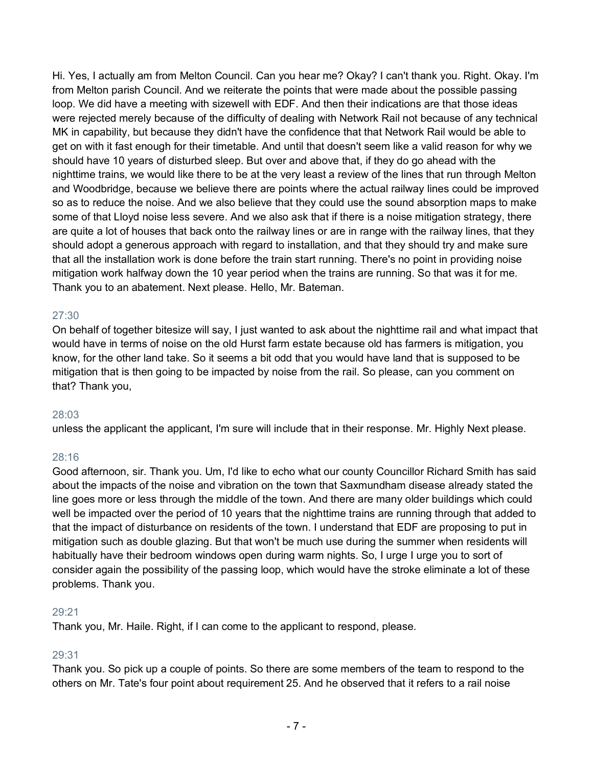Hi. Yes, I actually am from Melton Council. Can you hear me? Okay? I can't thank you. Right. Okay. I'm from Melton parish Council. And we reiterate the points that were made about the possible passing loop. We did have a meeting with sizewell with EDF. And then their indications are that those ideas were rejected merely because of the difficulty of dealing with Network Rail not because of any technical MK in capability, but because they didn't have the confidence that that Network Rail would be able to get on with it fast enough for their timetable. And until that doesn't seem like a valid reason for why we should have 10 years of disturbed sleep. But over and above that, if they do go ahead with the nighttime trains, we would like there to be at the very least a review of the lines that run through Melton and Woodbridge, because we believe there are points where the actual railway lines could be improved so as to reduce the noise. And we also believe that they could use the sound absorption maps to make some of that Lloyd noise less severe. And we also ask that if there is a noise mitigation strategy, there are quite a lot of houses that back onto the railway lines or are in range with the railway lines, that they should adopt a generous approach with regard to installation, and that they should try and make sure that all the installation work is done before the train start running. There's no point in providing noise mitigation work halfway down the 10 year period when the trains are running. So that was it for me. Thank you to an abatement. Next please. Hello, Mr. Bateman.

## 27:30

On behalf of together bitesize will say, I just wanted to ask about the nighttime rail and what impact that would have in terms of noise on the old Hurst farm estate because old has farmers is mitigation, you know, for the other land take. So it seems a bit odd that you would have land that is supposed to be mitigation that is then going to be impacted by noise from the rail. So please, can you comment on that? Thank you,

## 28:03

unless the applicant the applicant, I'm sure will include that in their response. Mr. Highly Next please.

# 28:16

Good afternoon, sir. Thank you. Um, I'd like to echo what our county Councillor Richard Smith has said about the impacts of the noise and vibration on the town that Saxmundham disease already stated the line goes more or less through the middle of the town. And there are many older buildings which could well be impacted over the period of 10 years that the nighttime trains are running through that added to that the impact of disturbance on residents of the town. I understand that EDF are proposing to put in mitigation such as double glazing. But that won't be much use during the summer when residents will habitually have their bedroom windows open during warm nights. So, I urge I urge you to sort of consider again the possibility of the passing loop, which would have the stroke eliminate a lot of these problems. Thank you.

## 29:21

Thank you, Mr. Haile. Right, if I can come to the applicant to respond, please.

# 29:31

Thank you. So pick up a couple of points. So there are some members of the team to respond to the others on Mr. Tate's four point about requirement 25. And he observed that it refers to a rail noise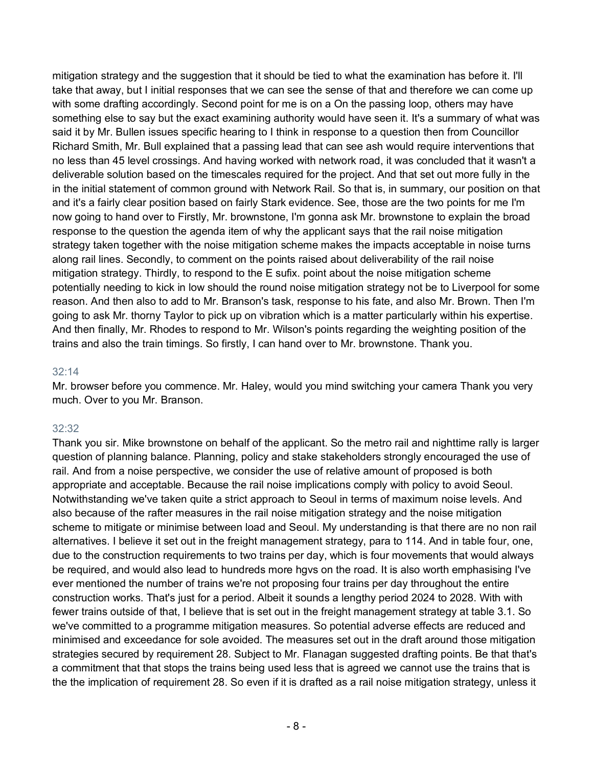mitigation strategy and the suggestion that it should be tied to what the examination has before it. I'll take that away, but I initial responses that we can see the sense of that and therefore we can come up with some drafting accordingly. Second point for me is on a On the passing loop, others may have something else to say but the exact examining authority would have seen it. It's a summary of what was said it by Mr. Bullen issues specific hearing to I think in response to a question then from Councillor Richard Smith, Mr. Bull explained that a passing lead that can see ash would require interventions that no less than 45 level crossings. And having worked with network road, it was concluded that it wasn't a deliverable solution based on the timescales required for the project. And that set out more fully in the in the initial statement of common ground with Network Rail. So that is, in summary, our position on that and it's a fairly clear position based on fairly Stark evidence. See, those are the two points for me I'm now going to hand over to Firstly, Mr. brownstone, I'm gonna ask Mr. brownstone to explain the broad response to the question the agenda item of why the applicant says that the rail noise mitigation strategy taken together with the noise mitigation scheme makes the impacts acceptable in noise turns along rail lines. Secondly, to comment on the points raised about deliverability of the rail noise mitigation strategy. Thirdly, to respond to the E sufix. point about the noise mitigation scheme potentially needing to kick in low should the round noise mitigation strategy not be to Liverpool for some reason. And then also to add to Mr. Branson's task, response to his fate, and also Mr. Brown. Then I'm going to ask Mr. thorny Taylor to pick up on vibration which is a matter particularly within his expertise. And then finally, Mr. Rhodes to respond to Mr. Wilson's points regarding the weighting position of the trains and also the train timings. So firstly, I can hand over to Mr. brownstone. Thank you.

## $32.14$

Mr. browser before you commence. Mr. Haley, would you mind switching your camera Thank you very much. Over to you Mr. Branson.

# 32:32

Thank you sir. Mike brownstone on behalf of the applicant. So the metro rail and nighttime rally is larger question of planning balance. Planning, policy and stake stakeholders strongly encouraged the use of rail. And from a noise perspective, we consider the use of relative amount of proposed is both appropriate and acceptable. Because the rail noise implications comply with policy to avoid Seoul. Notwithstanding we've taken quite a strict approach to Seoul in terms of maximum noise levels. And also because of the rafter measures in the rail noise mitigation strategy and the noise mitigation scheme to mitigate or minimise between load and Seoul. My understanding is that there are no non rail alternatives. I believe it set out in the freight management strategy, para to 114. And in table four, one, due to the construction requirements to two trains per day, which is four movements that would always be required, and would also lead to hundreds more hgvs on the road. It is also worth emphasising I've ever mentioned the number of trains we're not proposing four trains per day throughout the entire construction works. That's just for a period. Albeit it sounds a lengthy period 2024 to 2028. With with fewer trains outside of that, I believe that is set out in the freight management strategy at table 3.1. So we've committed to a programme mitigation measures. So potential adverse effects are reduced and minimised and exceedance for sole avoided. The measures set out in the draft around those mitigation strategies secured by requirement 28. Subject to Mr. Flanagan suggested drafting points. Be that that's a commitment that that stops the trains being used less that is agreed we cannot use the trains that is the the implication of requirement 28. So even if it is drafted as a rail noise mitigation strategy, unless it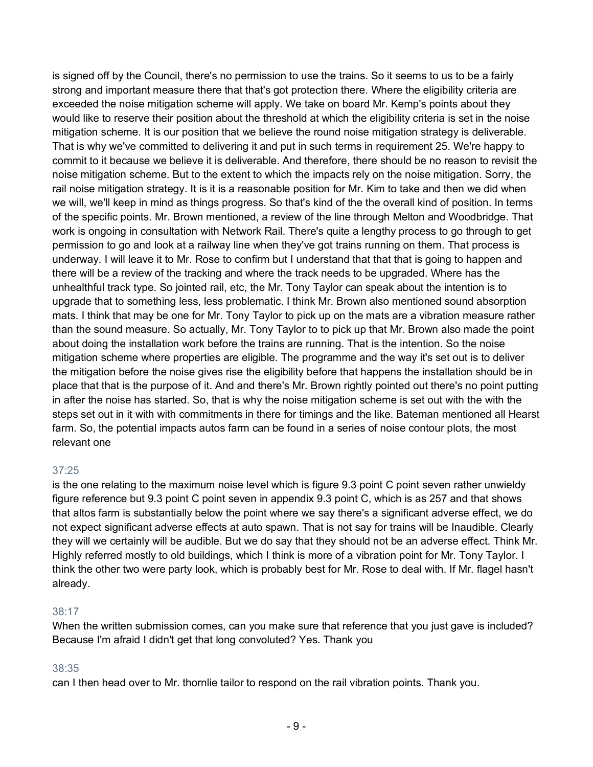is signed off by the Council, there's no permission to use the trains. So it seems to us to be a fairly strong and important measure there that that's got protection there. Where the eligibility criteria are exceeded the noise mitigation scheme will apply. We take on board Mr. Kemp's points about they would like to reserve their position about the threshold at which the eligibility criteria is set in the noise mitigation scheme. It is our position that we believe the round noise mitigation strategy is deliverable. That is why we've committed to delivering it and put in such terms in requirement 25. We're happy to commit to it because we believe it is deliverable. And therefore, there should be no reason to revisit the noise mitigation scheme. But to the extent to which the impacts rely on the noise mitigation. Sorry, the rail noise mitigation strategy. It is it is a reasonable position for Mr. Kim to take and then we did when we will, we'll keep in mind as things progress. So that's kind of the the overall kind of position. In terms of the specific points. Mr. Brown mentioned, a review of the line through Melton and Woodbridge. That work is ongoing in consultation with Network Rail. There's quite a lengthy process to go through to get permission to go and look at a railway line when they've got trains running on them. That process is underway. I will leave it to Mr. Rose to confirm but I understand that that that is going to happen and there will be a review of the tracking and where the track needs to be upgraded. Where has the unhealthful track type. So jointed rail, etc, the Mr. Tony Taylor can speak about the intention is to upgrade that to something less, less problematic. I think Mr. Brown also mentioned sound absorption mats. I think that may be one for Mr. Tony Taylor to pick up on the mats are a vibration measure rather than the sound measure. So actually, Mr. Tony Taylor to to pick up that Mr. Brown also made the point about doing the installation work before the trains are running. That is the intention. So the noise mitigation scheme where properties are eligible. The programme and the way it's set out is to deliver the mitigation before the noise gives rise the eligibility before that happens the installation should be in place that that is the purpose of it. And and there's Mr. Brown rightly pointed out there's no point putting in after the noise has started. So, that is why the noise mitigation scheme is set out with the with the steps set out in it with with commitments in there for timings and the like. Bateman mentioned all Hearst farm. So, the potential impacts autos farm can be found in a series of noise contour plots, the most relevant one

# 37:25

is the one relating to the maximum noise level which is figure 9.3 point C point seven rather unwieldy figure reference but 9.3 point C point seven in appendix 9.3 point C, which is as 257 and that shows that altos farm is substantially below the point where we say there's a significant adverse effect, we do not expect significant adverse effects at auto spawn. That is not say for trains will be Inaudible. Clearly they will we certainly will be audible. But we do say that they should not be an adverse effect. Think Mr. Highly referred mostly to old buildings, which I think is more of a vibration point for Mr. Tony Taylor. I think the other two were party look, which is probably best for Mr. Rose to deal with. If Mr. flagel hasn't already.

## 38:17

When the written submission comes, can you make sure that reference that you just gave is included? Because I'm afraid I didn't get that long convoluted? Yes. Thank you

## 38:35

can I then head over to Mr. thornlie tailor to respond on the rail vibration points. Thank you.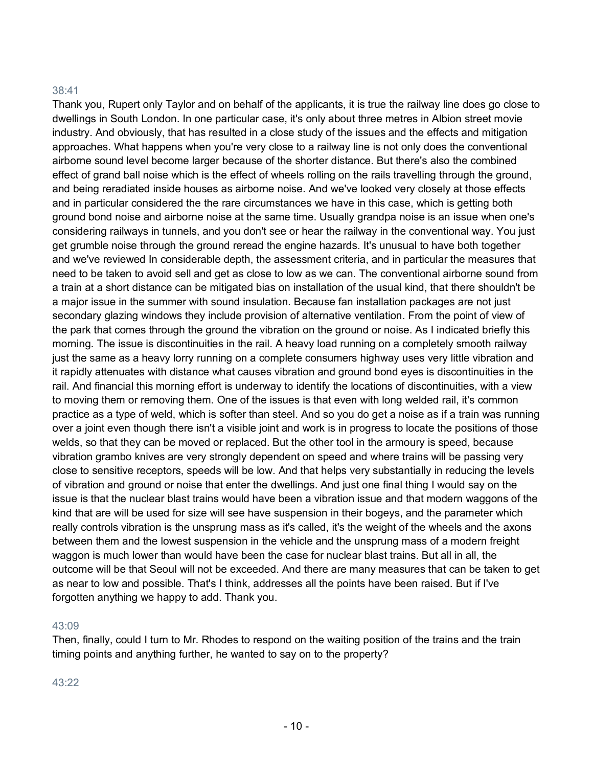## 38:41

Thank you, Rupert only Taylor and on behalf of the applicants, it is true the railway line does go close to dwellings in South London. In one particular case, it's only about three metres in Albion street movie industry. And obviously, that has resulted in a close study of the issues and the effects and mitigation approaches. What happens when you're very close to a railway line is not only does the conventional airborne sound level become larger because of the shorter distance. But there's also the combined effect of grand ball noise which is the effect of wheels rolling on the rails travelling through the ground, and being reradiated inside houses as airborne noise. And we've looked very closely at those effects and in particular considered the the rare circumstances we have in this case, which is getting both ground bond noise and airborne noise at the same time. Usually grandpa noise is an issue when one's considering railways in tunnels, and you don't see or hear the railway in the conventional way. You just get grumble noise through the ground reread the engine hazards. It's unusual to have both together and we've reviewed In considerable depth, the assessment criteria, and in particular the measures that need to be taken to avoid sell and get as close to low as we can. The conventional airborne sound from a train at a short distance can be mitigated bias on installation of the usual kind, that there shouldn't be a major issue in the summer with sound insulation. Because fan installation packages are not just secondary glazing windows they include provision of alternative ventilation. From the point of view of the park that comes through the ground the vibration on the ground or noise. As I indicated briefly this morning. The issue is discontinuities in the rail. A heavy load running on a completely smooth railway just the same as a heavy lorry running on a complete consumers highway uses very little vibration and it rapidly attenuates with distance what causes vibration and ground bond eyes is discontinuities in the rail. And financial this morning effort is underway to identify the locations of discontinuities, with a view to moving them or removing them. One of the issues is that even with long welded rail, it's common practice as a type of weld, which is softer than steel. And so you do get a noise as if a train was running over a joint even though there isn't a visible joint and work is in progress to locate the positions of those welds, so that they can be moved or replaced. But the other tool in the armoury is speed, because vibration grambo knives are very strongly dependent on speed and where trains will be passing very close to sensitive receptors, speeds will be low. And that helps very substantially in reducing the levels of vibration and ground or noise that enter the dwellings. And just one final thing I would say on the issue is that the nuclear blast trains would have been a vibration issue and that modern waggons of the kind that are will be used for size will see have suspension in their bogeys, and the parameter which really controls vibration is the unsprung mass as it's called, it's the weight of the wheels and the axons between them and the lowest suspension in the vehicle and the unsprung mass of a modern freight waggon is much lower than would have been the case for nuclear blast trains. But all in all, the outcome will be that Seoul will not be exceeded. And there are many measures that can be taken to get as near to low and possible. That's I think, addresses all the points have been raised. But if I've forgotten anything we happy to add. Thank you.

## 43:09

Then, finally, could I turn to Mr. Rhodes to respond on the waiting position of the trains and the train timing points and anything further, he wanted to say on to the property?

43:22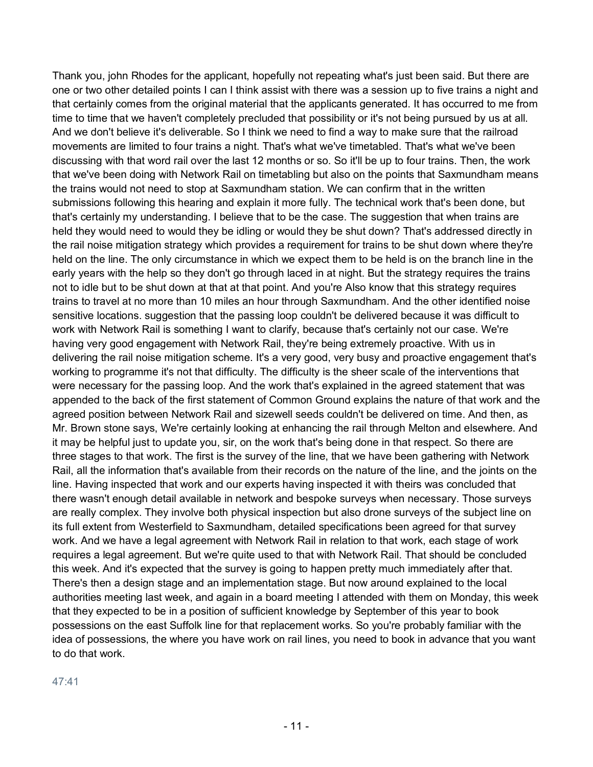Thank you, john Rhodes for the applicant, hopefully not repeating what's just been said. But there are one or two other detailed points I can I think assist with there was a session up to five trains a night and that certainly comes from the original material that the applicants generated. It has occurred to me from time to time that we haven't completely precluded that possibility or it's not being pursued by us at all. And we don't believe it's deliverable. So I think we need to find a way to make sure that the railroad movements are limited to four trains a night. That's what we've timetabled. That's what we've been discussing with that word rail over the last 12 months or so. So it'll be up to four trains. Then, the work that we've been doing with Network Rail on timetabling but also on the points that Saxmundham means the trains would not need to stop at Saxmundham station. We can confirm that in the written submissions following this hearing and explain it more fully. The technical work that's been done, but that's certainly my understanding. I believe that to be the case. The suggestion that when trains are held they would need to would they be idling or would they be shut down? That's addressed directly in the rail noise mitigation strategy which provides a requirement for trains to be shut down where they're held on the line. The only circumstance in which we expect them to be held is on the branch line in the early years with the help so they don't go through laced in at night. But the strategy requires the trains not to idle but to be shut down at that at that point. And you're Also know that this strategy requires trains to travel at no more than 10 miles an hour through Saxmundham. And the other identified noise sensitive locations. suggestion that the passing loop couldn't be delivered because it was difficult to work with Network Rail is something I want to clarify, because that's certainly not our case. We're having very good engagement with Network Rail, they're being extremely proactive. With us in delivering the rail noise mitigation scheme. It's a very good, very busy and proactive engagement that's working to programme it's not that difficulty. The difficulty is the sheer scale of the interventions that were necessary for the passing loop. And the work that's explained in the agreed statement that was appended to the back of the first statement of Common Ground explains the nature of that work and the agreed position between Network Rail and sizewell seeds couldn't be delivered on time. And then, as Mr. Brown stone says, We're certainly looking at enhancing the rail through Melton and elsewhere. And it may be helpful just to update you, sir, on the work that's being done in that respect. So there are three stages to that work. The first is the survey of the line, that we have been gathering with Network Rail, all the information that's available from their records on the nature of the line, and the joints on the line. Having inspected that work and our experts having inspected it with theirs was concluded that there wasn't enough detail available in network and bespoke surveys when necessary. Those surveys are really complex. They involve both physical inspection but also drone surveys of the subject line on its full extent from Westerfield to Saxmundham, detailed specifications been agreed for that survey work. And we have a legal agreement with Network Rail in relation to that work, each stage of work requires a legal agreement. But we're quite used to that with Network Rail. That should be concluded this week. And it's expected that the survey is going to happen pretty much immediately after that. There's then a design stage and an implementation stage. But now around explained to the local authorities meeting last week, and again in a board meeting I attended with them on Monday, this week that they expected to be in a position of sufficient knowledge by September of this year to book possessions on the east Suffolk line for that replacement works. So you're probably familiar with the idea of possessions, the where you have work on rail lines, you need to book in advance that you want to do that work.

## 47:41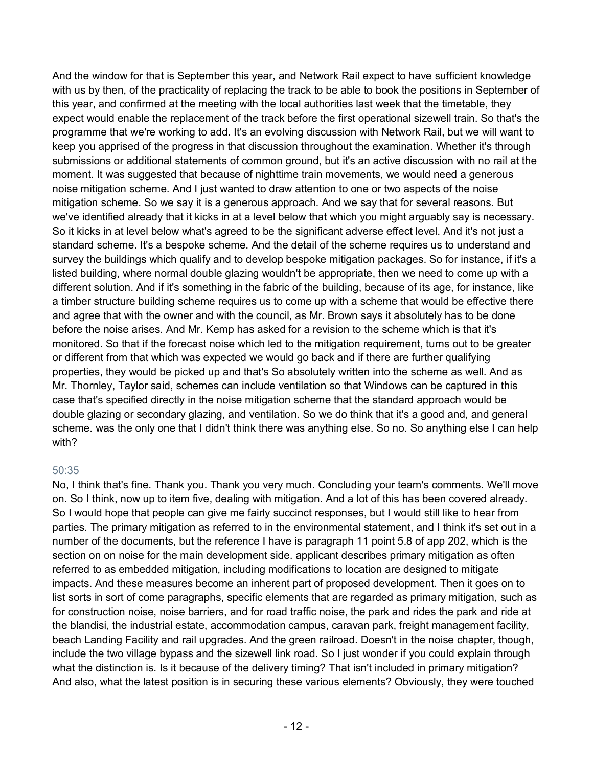And the window for that is September this year, and Network Rail expect to have sufficient knowledge with us by then, of the practicality of replacing the track to be able to book the positions in September of this year, and confirmed at the meeting with the local authorities last week that the timetable, they expect would enable the replacement of the track before the first operational sizewell train. So that's the programme that we're working to add. It's an evolving discussion with Network Rail, but we will want to keep you apprised of the progress in that discussion throughout the examination. Whether it's through submissions or additional statements of common ground, but it's an active discussion with no rail at the moment. It was suggested that because of nighttime train movements, we would need a generous noise mitigation scheme. And I just wanted to draw attention to one or two aspects of the noise mitigation scheme. So we say it is a generous approach. And we say that for several reasons. But we've identified already that it kicks in at a level below that which you might arguably say is necessary. So it kicks in at level below what's agreed to be the significant adverse effect level. And it's not just a standard scheme. It's a bespoke scheme. And the detail of the scheme requires us to understand and survey the buildings which qualify and to develop bespoke mitigation packages. So for instance, if it's a listed building, where normal double glazing wouldn't be appropriate, then we need to come up with a different solution. And if it's something in the fabric of the building, because of its age, for instance, like a timber structure building scheme requires us to come up with a scheme that would be effective there and agree that with the owner and with the council, as Mr. Brown says it absolutely has to be done before the noise arises. And Mr. Kemp has asked for a revision to the scheme which is that it's monitored. So that if the forecast noise which led to the mitigation requirement, turns out to be greater or different from that which was expected we would go back and if there are further qualifying properties, they would be picked up and that's So absolutely written into the scheme as well. And as Mr. Thornley, Taylor said, schemes can include ventilation so that Windows can be captured in this case that's specified directly in the noise mitigation scheme that the standard approach would be double glazing or secondary glazing, and ventilation. So we do think that it's a good and, and general scheme. was the only one that I didn't think there was anything else. So no. So anything else I can help with?

## 50:35

No, I think that's fine. Thank you. Thank you very much. Concluding your team's comments. We'll move on. So I think, now up to item five, dealing with mitigation. And a lot of this has been covered already. So I would hope that people can give me fairly succinct responses, but I would still like to hear from parties. The primary mitigation as referred to in the environmental statement, and I think it's set out in a number of the documents, but the reference I have is paragraph 11 point 5.8 of app 202, which is the section on on noise for the main development side. applicant describes primary mitigation as often referred to as embedded mitigation, including modifications to location are designed to mitigate impacts. And these measures become an inherent part of proposed development. Then it goes on to list sorts in sort of come paragraphs, specific elements that are regarded as primary mitigation, such as for construction noise, noise barriers, and for road traffic noise, the park and rides the park and ride at the blandisi, the industrial estate, accommodation campus, caravan park, freight management facility, beach Landing Facility and rail upgrades. And the green railroad. Doesn't in the noise chapter, though, include the two village bypass and the sizewell link road. So I just wonder if you could explain through what the distinction is. Is it because of the delivery timing? That isn't included in primary mitigation? And also, what the latest position is in securing these various elements? Obviously, they were touched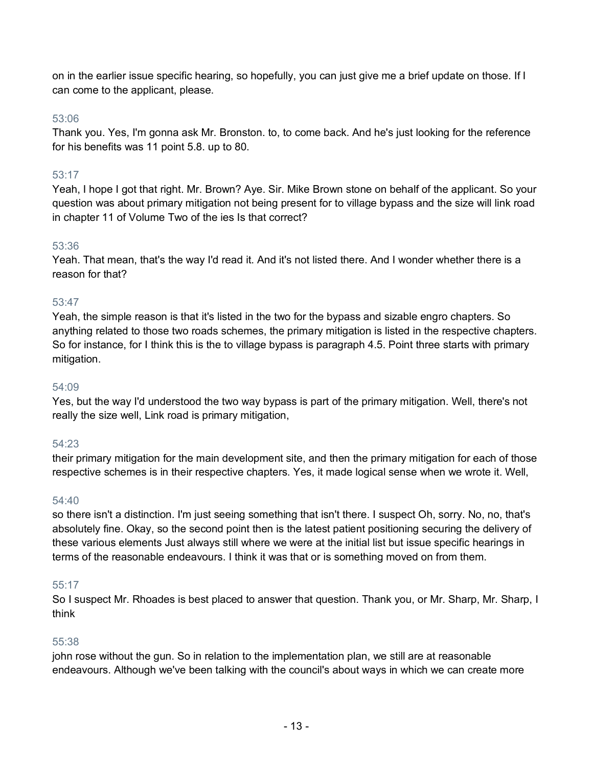on in the earlier issue specific hearing, so hopefully, you can just give me a brief update on those. If I can come to the applicant, please.

## 53:06

Thank you. Yes, I'm gonna ask Mr. Bronston. to, to come back. And he's just looking for the reference for his benefits was 11 point 5.8. up to 80.

# 53:17

Yeah, I hope I got that right. Mr. Brown? Aye. Sir. Mike Brown stone on behalf of the applicant. So your question was about primary mitigation not being present for to village bypass and the size will link road in chapter 11 of Volume Two of the ies Is that correct?

## 53:36

Yeah. That mean, that's the way I'd read it. And it's not listed there. And I wonder whether there is a reason for that?

## 53:47

Yeah, the simple reason is that it's listed in the two for the bypass and sizable engro chapters. So anything related to those two roads schemes, the primary mitigation is listed in the respective chapters. So for instance, for I think this is the to village bypass is paragraph 4.5. Point three starts with primary mitigation.

## 54:09

Yes, but the way I'd understood the two way bypass is part of the primary mitigation. Well, there's not really the size well, Link road is primary mitigation,

## 54:23

their primary mitigation for the main development site, and then the primary mitigation for each of those respective schemes is in their respective chapters. Yes, it made logical sense when we wrote it. Well,

## 54:40

so there isn't a distinction. I'm just seeing something that isn't there. I suspect Oh, sorry. No, no, that's absolutely fine. Okay, so the second point then is the latest patient positioning securing the delivery of these various elements Just always still where we were at the initial list but issue specific hearings in terms of the reasonable endeavours. I think it was that or is something moved on from them.

## 55:17

So I suspect Mr. Rhoades is best placed to answer that question. Thank you, or Mr. Sharp, Mr. Sharp, I think

## 55:38

john rose without the gun. So in relation to the implementation plan, we still are at reasonable endeavours. Although we've been talking with the council's about ways in which we can create more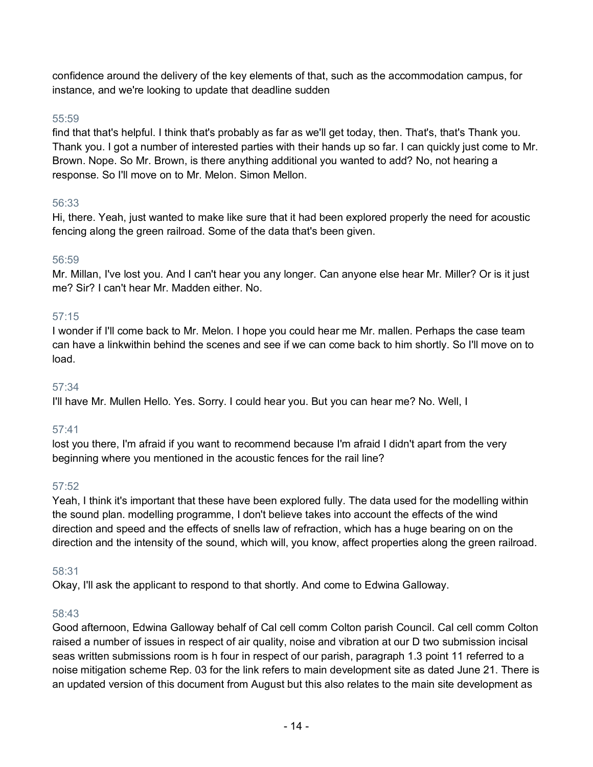confidence around the delivery of the key elements of that, such as the accommodation campus, for instance, and we're looking to update that deadline sudden

# 55:59

find that that's helpful. I think that's probably as far as we'll get today, then. That's, that's Thank you. Thank you. I got a number of interested parties with their hands up so far. I can quickly just come to Mr. Brown. Nope. So Mr. Brown, is there anything additional you wanted to add? No, not hearing a response. So I'll move on to Mr. Melon. Simon Mellon.

# 56:33

Hi, there. Yeah, just wanted to make like sure that it had been explored properly the need for acoustic fencing along the green railroad. Some of the data that's been given.

# 56:59

Mr. Millan, I've lost you. And I can't hear you any longer. Can anyone else hear Mr. Miller? Or is it just me? Sir? I can't hear Mr. Madden either. No.

# 57:15

I wonder if I'll come back to Mr. Melon. I hope you could hear me Mr. mallen. Perhaps the case team can have a linkwithin behind the scenes and see if we can come back to him shortly. So I'll move on to load.

# 57:34

I'll have Mr. Mullen Hello. Yes. Sorry. I could hear you. But you can hear me? No. Well, I

# 57:41

lost you there, I'm afraid if you want to recommend because I'm afraid I didn't apart from the very beginning where you mentioned in the acoustic fences for the rail line?

# 57:52

Yeah, I think it's important that these have been explored fully. The data used for the modelling within the sound plan. modelling programme, I don't believe takes into account the effects of the wind direction and speed and the effects of snells law of refraction, which has a huge bearing on on the direction and the intensity of the sound, which will, you know, affect properties along the green railroad.

# 58:31

Okay, I'll ask the applicant to respond to that shortly. And come to Edwina Galloway.

# 58:43

Good afternoon, Edwina Galloway behalf of Cal cell comm Colton parish Council. Cal cell comm Colton raised a number of issues in respect of air quality, noise and vibration at our D two submission incisal seas written submissions room is h four in respect of our parish, paragraph 1.3 point 11 referred to a noise mitigation scheme Rep. 03 for the link refers to main development site as dated June 21. There is an updated version of this document from August but this also relates to the main site development as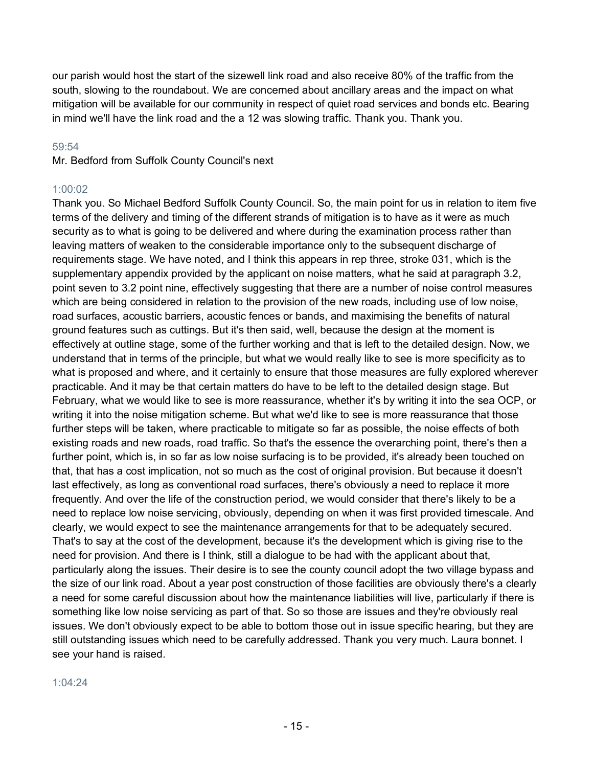our parish would host the start of the sizewell link road and also receive 80% of the traffic from the south, slowing to the roundabout. We are concerned about ancillary areas and the impact on what mitigation will be available for our community in respect of quiet road services and bonds etc. Bearing in mind we'll have the link road and the a 12 was slowing traffic. Thank you. Thank you.

## 59:54

Mr. Bedford from Suffolk County Council's next

# 1:00:02

Thank you. So Michael Bedford Suffolk County Council. So, the main point for us in relation to item five terms of the delivery and timing of the different strands of mitigation is to have as it were as much security as to what is going to be delivered and where during the examination process rather than leaving matters of weaken to the considerable importance only to the subsequent discharge of requirements stage. We have noted, and I think this appears in rep three, stroke 031, which is the supplementary appendix provided by the applicant on noise matters, what he said at paragraph 3.2, point seven to 3.2 point nine, effectively suggesting that there are a number of noise control measures which are being considered in relation to the provision of the new roads, including use of low noise, road surfaces, acoustic barriers, acoustic fences or bands, and maximising the benefits of natural ground features such as cuttings. But it's then said, well, because the design at the moment is effectively at outline stage, some of the further working and that is left to the detailed design. Now, we understand that in terms of the principle, but what we would really like to see is more specificity as to what is proposed and where, and it certainly to ensure that those measures are fully explored wherever practicable. And it may be that certain matters do have to be left to the detailed design stage. But February, what we would like to see is more reassurance, whether it's by writing it into the sea OCP, or writing it into the noise mitigation scheme. But what we'd like to see is more reassurance that those further steps will be taken, where practicable to mitigate so far as possible, the noise effects of both existing roads and new roads, road traffic. So that's the essence the overarching point, there's then a further point, which is, in so far as low noise surfacing is to be provided, it's already been touched on that, that has a cost implication, not so much as the cost of original provision. But because it doesn't last effectively, as long as conventional road surfaces, there's obviously a need to replace it more frequently. And over the life of the construction period, we would consider that there's likely to be a need to replace low noise servicing, obviously, depending on when it was first provided timescale. And clearly, we would expect to see the maintenance arrangements for that to be adequately secured. That's to say at the cost of the development, because it's the development which is giving rise to the need for provision. And there is I think, still a dialogue to be had with the applicant about that, particularly along the issues. Their desire is to see the county council adopt the two village bypass and the size of our link road. About a year post construction of those facilities are obviously there's a clearly a need for some careful discussion about how the maintenance liabilities will live, particularly if there is something like low noise servicing as part of that. So so those are issues and they're obviously real issues. We don't obviously expect to be able to bottom those out in issue specific hearing, but they are still outstanding issues which need to be carefully addressed. Thank you very much. Laura bonnet. I see your hand is raised.

## 1:04:24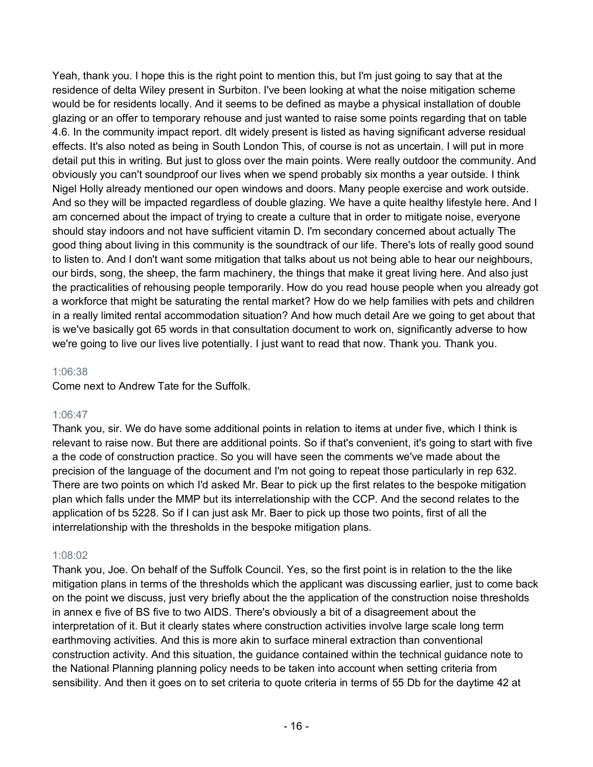Yeah, thank you. I hope this is the right point to mention this, but I'm just going to say that at the residence of delta Wiley present in Surbiton. I've been looking at what the noise mitigation scheme would be for residents locally. And it seems to be defined as maybe a physical installation of double glazing or an offer to temporary rehouse and just wanted to raise some points regarding that on table 4.6. In the community impact report. dlt widely present is listed as having significant adverse residual effects. It's also noted as being in South London This, of course is not as uncertain. I will put in more detail put this in writing. But just to gloss over the main points. Were really outdoor the community. And obviously you can't soundproof our lives when we spend probably six months a year outside. I think Nigel Holly already mentioned our open windows and doors. Many people exercise and work outside. And so they will be impacted regardless of double glazing. We have a quite healthy lifestyle here. And I am concerned about the impact of trying to create a culture that in order to mitigate noise, everyone should stay indoors and not have sufficient vitamin D. I'm secondary concerned about actually The good thing about living in this community is the soundtrack of our life. There's lots of really good sound to listen to. And I don't want some mitigation that talks about us not being able to hear our neighbours, our birds, song, the sheep, the farm machinery, the things that make it great living here. And also just the practicalities of rehousing people temporarily. How do you read house people when you already got a workforce that might be saturating the rental market? How do we help families with pets and children in a really limited rental accommodation situation? And how much detail Are we going to get about that is we've basically got 65 words in that consultation document to work on, significantly adverse to how we're going to live our lives live potentially. I just want to read that now. Thank you. Thank you.

## 1:06:38

Come next to Andrew Tate for the Suffolk.

## 1:06:47

Thank you, sir. We do have some additional points in relation to items at under five, which I think is relevant to raise now. But there are additional points. So if that's convenient, it's going to start with five a the code of construction practice. So you will have seen the comments we've made about the precision of the language of the document and I'm not going to repeat those particularly in rep 632. There are two points on which I'd asked Mr. Bear to pick up the first relates to the bespoke mitigation plan which falls under the MMP but its interrelationship with the CCP. And the second relates to the application of bs 5228. So if I can just ask Mr. Baer to pick up those two points, first of all the interrelationship with the thresholds in the bespoke mitigation plans.

## 1:08:02

Thank you, Joe. On behalf of the Suffolk Council. Yes, so the first point is in relation to the the like mitigation plans in terms of the thresholds which the applicant was discussing earlier, just to come back on the point we discuss, just very briefly about the the application of the construction noise thresholds in annex e five of BS five to two AIDS. There's obviously a bit of a disagreement about the interpretation of it. But it clearly states where construction activities involve large scale long term earthmoving activities. And this is more akin to surface mineral extraction than conventional construction activity. And this situation, the guidance contained within the technical guidance note to the National Planning planning policy needs to be taken into account when setting criteria from sensibility. And then it goes on to set criteria to quote criteria in terms of 55 Db for the daytime 42 at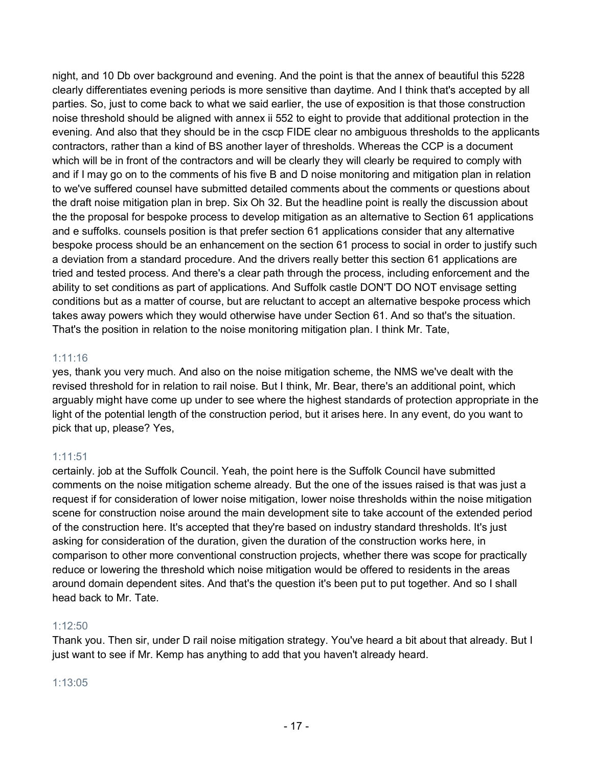night, and 10 Db over background and evening. And the point is that the annex of beautiful this 5228 clearly differentiates evening periods is more sensitive than daytime. And I think that's accepted by all parties. So, just to come back to what we said earlier, the use of exposition is that those construction noise threshold should be aligned with annex ii 552 to eight to provide that additional protection in the evening. And also that they should be in the cscp FIDE clear no ambiguous thresholds to the applicants contractors, rather than a kind of BS another layer of thresholds. Whereas the CCP is a document which will be in front of the contractors and will be clearly they will clearly be required to comply with and if I may go on to the comments of his five B and D noise monitoring and mitigation plan in relation to we've suffered counsel have submitted detailed comments about the comments or questions about the draft noise mitigation plan in brep. Six Oh 32. But the headline point is really the discussion about the the proposal for bespoke process to develop mitigation as an alternative to Section 61 applications and e suffolks. counsels position is that prefer section 61 applications consider that any alternative bespoke process should be an enhancement on the section 61 process to social in order to justify such a deviation from a standard procedure. And the drivers really better this section 61 applications are tried and tested process. And there's a clear path through the process, including enforcement and the ability to set conditions as part of applications. And Suffolk castle DON'T DO NOT envisage setting conditions but as a matter of course, but are reluctant to accept an alternative bespoke process which takes away powers which they would otherwise have under Section 61. And so that's the situation. That's the position in relation to the noise monitoring mitigation plan. I think Mr. Tate,

## 1:11:16

yes, thank you very much. And also on the noise mitigation scheme, the NMS we've dealt with the revised threshold for in relation to rail noise. But I think, Mr. Bear, there's an additional point, which arguably might have come up under to see where the highest standards of protection appropriate in the light of the potential length of the construction period, but it arises here. In any event, do you want to pick that up, please? Yes,

## 1:11:51

certainly. job at the Suffolk Council. Yeah, the point here is the Suffolk Council have submitted comments on the noise mitigation scheme already. But the one of the issues raised is that was just a request if for consideration of lower noise mitigation, lower noise thresholds within the noise mitigation scene for construction noise around the main development site to take account of the extended period of the construction here. It's accepted that they're based on industry standard thresholds. It's just asking for consideration of the duration, given the duration of the construction works here, in comparison to other more conventional construction projects, whether there was scope for practically reduce or lowering the threshold which noise mitigation would be offered to residents in the areas around domain dependent sites. And that's the question it's been put to put together. And so I shall head back to Mr. Tate.

## 1:12:50

Thank you. Then sir, under D rail noise mitigation strategy. You've heard a bit about that already. But I just want to see if Mr. Kemp has anything to add that you haven't already heard.

## 1:13:05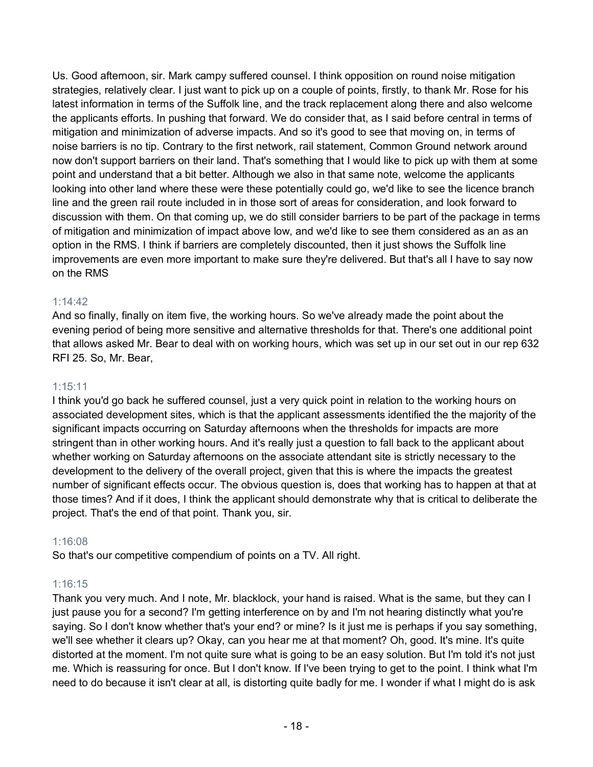Us. Good afternoon, sir. Mark campy suffered counsel. I think opposition on round noise mitigation strategies, relatively clear. I just want to pick up on a couple of points, firstly, to thank Mr. Rose for his latest information in terms of the Suffolk line, and the track replacement along there and also welcome the applicants efforts. In pushing that forward. We do consider that, as I said before central in terms of mitigation and minimization of adverse impacts. And so it's good to see that moving on, in terms of noise barriers is no tip. Contrary to the first network, rail statement, Common Ground network around now don't support barriers on their land. That's something that I would like to pick up with them at some point and understand that a bit better. Although we also in that same note, welcome the applicants looking into other land where these were these potentially could go, we'd like to see the licence branch line and the green rail route included in in those sort of areas for consideration, and look forward to discussion with them. On that coming up, we do still consider barriers to be part of the package in terms of mitigation and minimization of impact above low, and we'd like to see them considered as an as an option in the RMS. I think if barriers are completely discounted, then it just shows the Suffolk line improvements are even more important to make sure they're delivered. But that's all I have to say now on the RMS

# 1:14:42

And so finally, finally on item five, the working hours. So we've already made the point about the evening period of being more sensitive and alternative thresholds for that. There's one additional point that allows asked Mr. Bear to deal with on working hours, which was set up in our set out in our rep 632 RFI 25. So, Mr. Bear,

# 1:15:11

I think you'd go back he suffered counsel, just a very quick point in relation to the working hours on associated development sites, which is that the applicant assessments identified the the majority of the significant impacts occurring on Saturday afternoons when the thresholds for impacts are more stringent than in other working hours. And it's really just a question to fall back to the applicant about whether working on Saturday afternoons on the associate attendant site is strictly necessary to the development to the delivery of the overall project, given that this is where the impacts the greatest number of significant effects occur. The obvious question is, does that working has to happen at that at those times? And if it does, I think the applicant should demonstrate why that is critical to deliberate the project. That's the end of that point. Thank you, sir.

# 1:16:08

So that's our competitive compendium of points on a TV. All right.

# 1:16:15

Thank you very much. And I note, Mr. blacklock, your hand is raised. What is the same, but they can I just pause you for a second? I'm getting interference on by and I'm not hearing distinctly what you're saying. So I don't know whether that's your end? or mine? Is it just me is perhaps if you say something, we'll see whether it clears up? Okay, can you hear me at that moment? Oh, good. It's mine. It's quite distorted at the moment. I'm not quite sure what is going to be an easy solution. But I'm told it's not just me. Which is reassuring for once. But I don't know. If I've been trying to get to the point. I think what I'm need to do because it isn't clear at all, is distorting quite badly for me. I wonder if what I might do is ask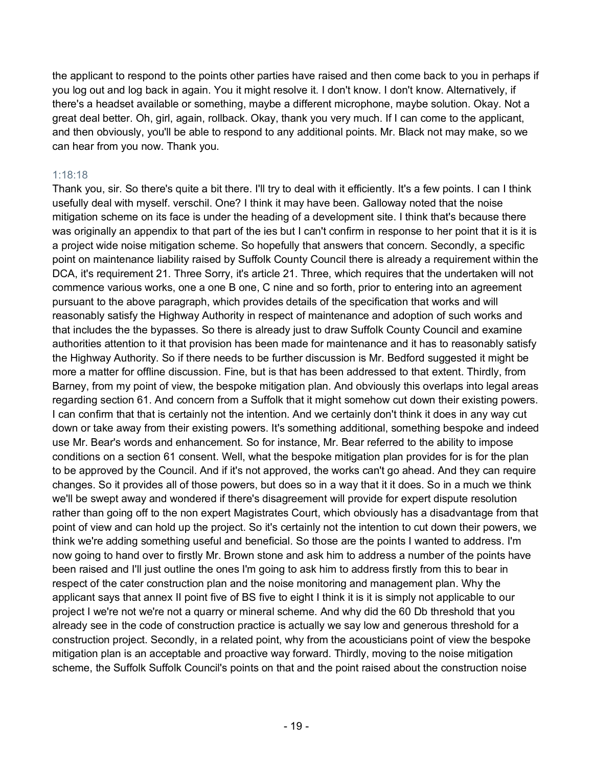the applicant to respond to the points other parties have raised and then come back to you in perhaps if you log out and log back in again. You it might resolve it. I don't know. I don't know. Alternatively, if there's a headset available or something, maybe a different microphone, maybe solution. Okay. Not a great deal better. Oh, girl, again, rollback. Okay, thank you very much. If I can come to the applicant, and then obviously, you'll be able to respond to any additional points. Mr. Black not may make, so we can hear from you now. Thank you.

# 1:18:18

Thank you, sir. So there's quite a bit there. I'll try to deal with it efficiently. It's a few points. I can I think usefully deal with myself. verschil. One? I think it may have been. Galloway noted that the noise mitigation scheme on its face is under the heading of a development site. I think that's because there was originally an appendix to that part of the ies but I can't confirm in response to her point that it is it is a project wide noise mitigation scheme. So hopefully that answers that concern. Secondly, a specific point on maintenance liability raised by Suffolk County Council there is already a requirement within the DCA, it's requirement 21. Three Sorry, it's article 21. Three, which requires that the undertaken will not commence various works, one a one B one, C nine and so forth, prior to entering into an agreement pursuant to the above paragraph, which provides details of the specification that works and will reasonably satisfy the Highway Authority in respect of maintenance and adoption of such works and that includes the the bypasses. So there is already just to draw Suffolk County Council and examine authorities attention to it that provision has been made for maintenance and it has to reasonably satisfy the Highway Authority. So if there needs to be further discussion is Mr. Bedford suggested it might be more a matter for offline discussion. Fine, but is that has been addressed to that extent. Thirdly, from Barney, from my point of view, the bespoke mitigation plan. And obviously this overlaps into legal areas regarding section 61. And concern from a Suffolk that it might somehow cut down their existing powers. I can confirm that that is certainly not the intention. And we certainly don't think it does in any way cut down or take away from their existing powers. It's something additional, something bespoke and indeed use Mr. Bear's words and enhancement. So for instance, Mr. Bear referred to the ability to impose conditions on a section 61 consent. Well, what the bespoke mitigation plan provides for is for the plan to be approved by the Council. And if it's not approved, the works can't go ahead. And they can require changes. So it provides all of those powers, but does so in a way that it it does. So in a much we think we'll be swept away and wondered if there's disagreement will provide for expert dispute resolution rather than going off to the non expert Magistrates Court, which obviously has a disadvantage from that point of view and can hold up the project. So it's certainly not the intention to cut down their powers, we think we're adding something useful and beneficial. So those are the points I wanted to address. I'm now going to hand over to firstly Mr. Brown stone and ask him to address a number of the points have been raised and I'll just outline the ones I'm going to ask him to address firstly from this to bear in respect of the cater construction plan and the noise monitoring and management plan. Why the applicant says that annex II point five of BS five to eight I think it is it is simply not applicable to our project I we're not we're not a quarry or mineral scheme. And why did the 60 Db threshold that you already see in the code of construction practice is actually we say low and generous threshold for a construction project. Secondly, in a related point, why from the acousticians point of view the bespoke mitigation plan is an acceptable and proactive way forward. Thirdly, moving to the noise mitigation scheme, the Suffolk Suffolk Council's points on that and the point raised about the construction noise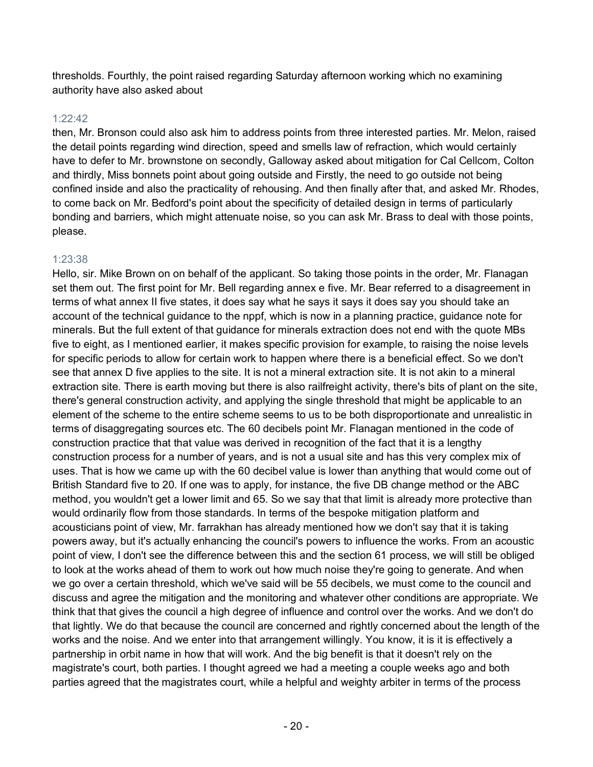thresholds. Fourthly, the point raised regarding Saturday afternoon working which no examining authority have also asked about

## 1:22:42

then, Mr. Bronson could also ask him to address points from three interested parties. Mr. Melon, raised the detail points regarding wind direction, speed and smells law of refraction, which would certainly have to defer to Mr. brownstone on secondly, Galloway asked about mitigation for Cal Cellcom, Colton and thirdly, Miss bonnets point about going outside and Firstly, the need to go outside not being confined inside and also the practicality of rehousing. And then finally after that, and asked Mr. Rhodes, to come back on Mr. Bedford's point about the specificity of detailed design in terms of particularly bonding and barriers, which might attenuate noise, so you can ask Mr. Brass to deal with those points, please.

## 1:23:38

Hello, sir. Mike Brown on on behalf of the applicant. So taking those points in the order, Mr. Flanagan set them out. The first point for Mr. Bell regarding annex e five. Mr. Bear referred to a disagreement in terms of what annex II five states, it does say what he says it says it does say you should take an account of the technical guidance to the nppf, which is now in a planning practice, guidance note for minerals. But the full extent of that guidance for minerals extraction does not end with the quote MBs five to eight, as I mentioned earlier, it makes specific provision for example, to raising the noise levels for specific periods to allow for certain work to happen where there is a beneficial effect. So we don't see that annex D five applies to the site. It is not a mineral extraction site. It is not akin to a mineral extraction site. There is earth moving but there is also railfreight activity, there's bits of plant on the site, there's general construction activity, and applying the single threshold that might be applicable to an element of the scheme to the entire scheme seems to us to be both disproportionate and unrealistic in terms of disaggregating sources etc. The 60 decibels point Mr. Flanagan mentioned in the code of construction practice that that value was derived in recognition of the fact that it is a lengthy construction process for a number of years, and is not a usual site and has this very complex mix of uses. That is how we came up with the 60 decibel value is lower than anything that would come out of British Standard five to 20. If one was to apply, for instance, the five DB change method or the ABC method, you wouldn't get a lower limit and 65. So we say that that limit is already more protective than would ordinarily flow from those standards. In terms of the bespoke mitigation platform and acousticians point of view, Mr. farrakhan has already mentioned how we don't say that it is taking powers away, but it's actually enhancing the council's powers to influence the works. From an acoustic point of view, I don't see the difference between this and the section 61 process, we will still be obliged to look at the works ahead of them to work out how much noise they're going to generate. And when we go over a certain threshold, which we've said will be 55 decibels, we must come to the council and discuss and agree the mitigation and the monitoring and whatever other conditions are appropriate. We think that that gives the council a high degree of influence and control over the works. And we don't do that lightly. We do that because the council are concerned and rightly concerned about the length of the works and the noise. And we enter into that arrangement willingly. You know, it is it is effectively a partnership in orbit name in how that will work. And the big benefit is that it doesn't rely on the magistrate's court, both parties. I thought agreed we had a meeting a couple weeks ago and both parties agreed that the magistrates court, while a helpful and weighty arbiter in terms of the process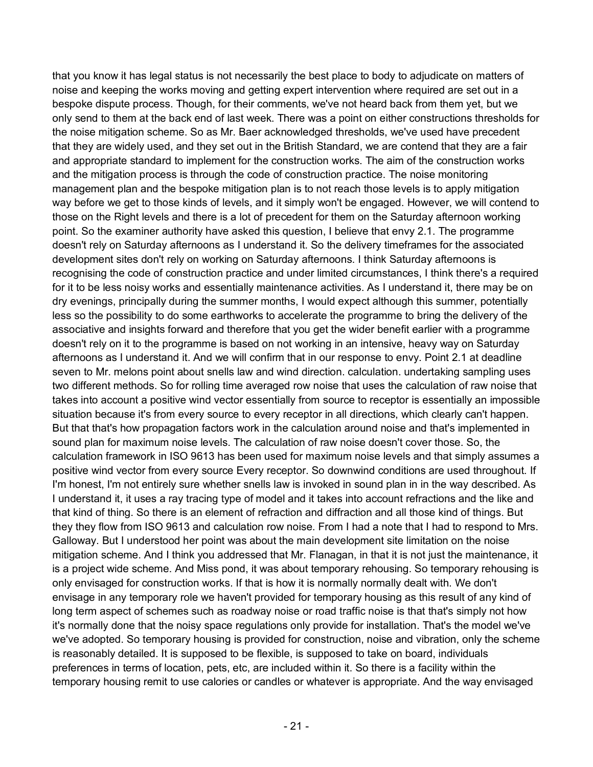that you know it has legal status is not necessarily the best place to body to adjudicate on matters of noise and keeping the works moving and getting expert intervention where required are set out in a bespoke dispute process. Though, for their comments, we've not heard back from them yet, but we only send to them at the back end of last week. There was a point on either constructions thresholds for the noise mitigation scheme. So as Mr. Baer acknowledged thresholds, we've used have precedent that they are widely used, and they set out in the British Standard, we are contend that they are a fair and appropriate standard to implement for the construction works. The aim of the construction works and the mitigation process is through the code of construction practice. The noise monitoring management plan and the bespoke mitigation plan is to not reach those levels is to apply mitigation way before we get to those kinds of levels, and it simply won't be engaged. However, we will contend to those on the Right levels and there is a lot of precedent for them on the Saturday afternoon working point. So the examiner authority have asked this question, I believe that envy 2.1. The programme doesn't rely on Saturday afternoons as I understand it. So the delivery timeframes for the associated development sites don't rely on working on Saturday afternoons. I think Saturday afternoons is recognising the code of construction practice and under limited circumstances, I think there's a required for it to be less noisy works and essentially maintenance activities. As I understand it, there may be on dry evenings, principally during the summer months, I would expect although this summer, potentially less so the possibility to do some earthworks to accelerate the programme to bring the delivery of the associative and insights forward and therefore that you get the wider benefit earlier with a programme doesn't rely on it to the programme is based on not working in an intensive, heavy way on Saturday afternoons as I understand it. And we will confirm that in our response to envy. Point 2.1 at deadline seven to Mr. melons point about snells law and wind direction. calculation. undertaking sampling uses two different methods. So for rolling time averaged row noise that uses the calculation of raw noise that takes into account a positive wind vector essentially from source to receptor is essentially an impossible situation because it's from every source to every receptor in all directions, which clearly can't happen. But that that's how propagation factors work in the calculation around noise and that's implemented in sound plan for maximum noise levels. The calculation of raw noise doesn't cover those. So, the calculation framework in ISO 9613 has been used for maximum noise levels and that simply assumes a positive wind vector from every source Every receptor. So downwind conditions are used throughout. If I'm honest, I'm not entirely sure whether snells law is invoked in sound plan in in the way described. As I understand it, it uses a ray tracing type of model and it takes into account refractions and the like and that kind of thing. So there is an element of refraction and diffraction and all those kind of things. But they they flow from ISO 9613 and calculation row noise. From I had a note that I had to respond to Mrs. Galloway. But I understood her point was about the main development site limitation on the noise mitigation scheme. And I think you addressed that Mr. Flanagan, in that it is not just the maintenance, it is a project wide scheme. And Miss pond, it was about temporary rehousing. So temporary rehousing is only envisaged for construction works. If that is how it is normally normally dealt with. We don't envisage in any temporary role we haven't provided for temporary housing as this result of any kind of long term aspect of schemes such as roadway noise or road traffic noise is that that's simply not how it's normally done that the noisy space regulations only provide for installation. That's the model we've we've adopted. So temporary housing is provided for construction, noise and vibration, only the scheme is reasonably detailed. It is supposed to be flexible, is supposed to take on board, individuals preferences in terms of location, pets, etc, are included within it. So there is a facility within the temporary housing remit to use calories or candles or whatever is appropriate. And the way envisaged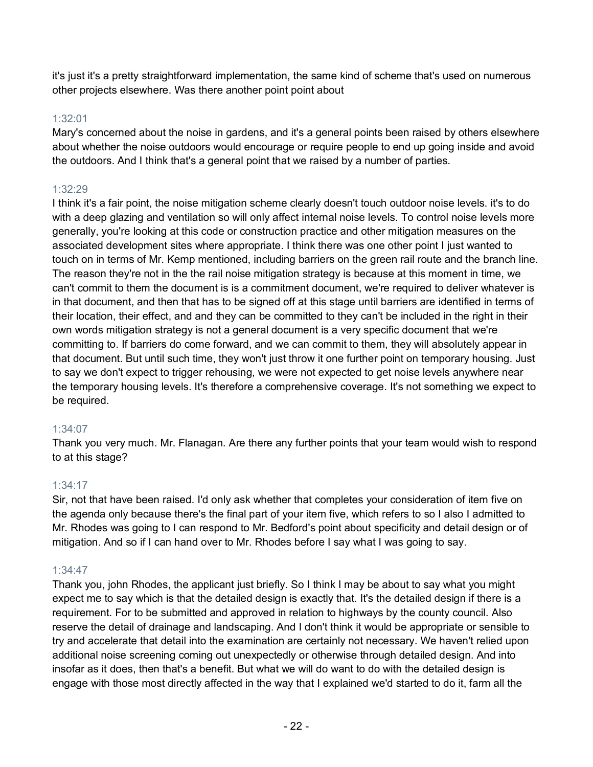it's just it's a pretty straightforward implementation, the same kind of scheme that's used on numerous other projects elsewhere. Was there another point point about

# 1:32:01

Mary's concerned about the noise in gardens, and it's a general points been raised by others elsewhere about whether the noise outdoors would encourage or require people to end up going inside and avoid the outdoors. And I think that's a general point that we raised by a number of parties.

# 1:32:29

I think it's a fair point, the noise mitigation scheme clearly doesn't touch outdoor noise levels. it's to do with a deep glazing and ventilation so will only affect internal noise levels. To control noise levels more generally, you're looking at this code or construction practice and other mitigation measures on the associated development sites where appropriate. I think there was one other point I just wanted to touch on in terms of Mr. Kemp mentioned, including barriers on the green rail route and the branch line. The reason they're not in the the rail noise mitigation strategy is because at this moment in time, we can't commit to them the document is is a commitment document, we're required to deliver whatever is in that document, and then that has to be signed off at this stage until barriers are identified in terms of their location, their effect, and and they can be committed to they can't be included in the right in their own words mitigation strategy is not a general document is a very specific document that we're committing to. If barriers do come forward, and we can commit to them, they will absolutely appear in that document. But until such time, they won't just throw it one further point on temporary housing. Just to say we don't expect to trigger rehousing, we were not expected to get noise levels anywhere near the temporary housing levels. It's therefore a comprehensive coverage. It's not something we expect to be required.

# 1:34:07

Thank you very much. Mr. Flanagan. Are there any further points that your team would wish to respond to at this stage?

# 1:34:17

Sir, not that have been raised. I'd only ask whether that completes your consideration of item five on the agenda only because there's the final part of your item five, which refers to so I also I admitted to Mr. Rhodes was going to I can respond to Mr. Bedford's point about specificity and detail design or of mitigation. And so if I can hand over to Mr. Rhodes before I say what I was going to say.

# 1:34:47

Thank you, john Rhodes, the applicant just briefly. So I think I may be about to say what you might expect me to say which is that the detailed design is exactly that. It's the detailed design if there is a requirement. For to be submitted and approved in relation to highways by the county council. Also reserve the detail of drainage and landscaping. And I don't think it would be appropriate or sensible to try and accelerate that detail into the examination are certainly not necessary. We haven't relied upon additional noise screening coming out unexpectedly or otherwise through detailed design. And into insofar as it does, then that's a benefit. But what we will do want to do with the detailed design is engage with those most directly affected in the way that I explained we'd started to do it, farm all the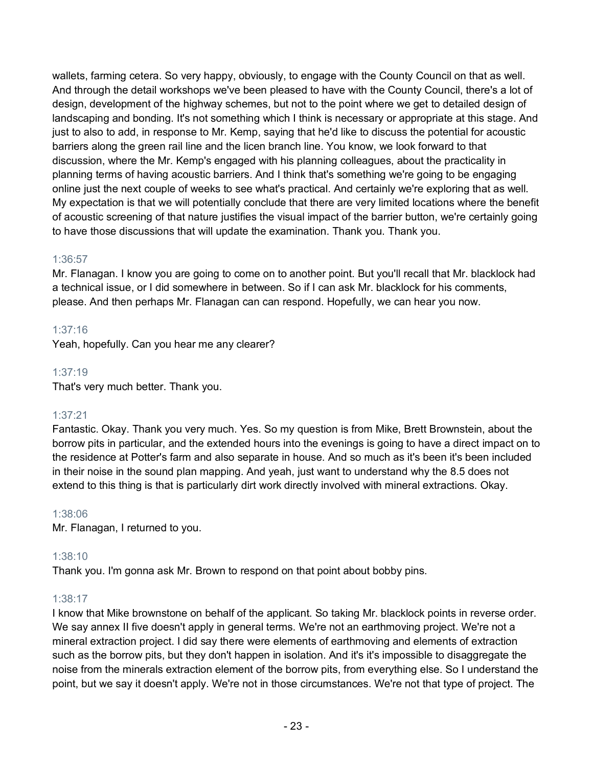wallets, farming cetera. So very happy, obviously, to engage with the County Council on that as well. And through the detail workshops we've been pleased to have with the County Council, there's a lot of design, development of the highway schemes, but not to the point where we get to detailed design of landscaping and bonding. It's not something which I think is necessary or appropriate at this stage. And just to also to add, in response to Mr. Kemp, saying that he'd like to discuss the potential for acoustic barriers along the green rail line and the licen branch line. You know, we look forward to that discussion, where the Mr. Kemp's engaged with his planning colleagues, about the practicality in planning terms of having acoustic barriers. And I think that's something we're going to be engaging online just the next couple of weeks to see what's practical. And certainly we're exploring that as well. My expectation is that we will potentially conclude that there are very limited locations where the benefit of acoustic screening of that nature justifies the visual impact of the barrier button, we're certainly going to have those discussions that will update the examination. Thank you. Thank you.

# 1:36:57

Mr. Flanagan. I know you are going to come on to another point. But you'll recall that Mr. blacklock had a technical issue, or I did somewhere in between. So if I can ask Mr. blacklock for his comments, please. And then perhaps Mr. Flanagan can can respond. Hopefully, we can hear you now.

# 1:37:16

Yeah, hopefully. Can you hear me any clearer?

## 1:37:19

That's very much better. Thank you.

# 1:37:21

Fantastic. Okay. Thank you very much. Yes. So my question is from Mike, Brett Brownstein, about the borrow pits in particular, and the extended hours into the evenings is going to have a direct impact on to the residence at Potter's farm and also separate in house. And so much as it's been it's been included in their noise in the sound plan mapping. And yeah, just want to understand why the 8.5 does not extend to this thing is that is particularly dirt work directly involved with mineral extractions. Okay.

## 1:38:06

Mr. Flanagan, I returned to you.

## 1:38:10

Thank you. I'm gonna ask Mr. Brown to respond on that point about bobby pins.

## 1:38:17

I know that Mike brownstone on behalf of the applicant. So taking Mr. blacklock points in reverse order. We say annex II five doesn't apply in general terms. We're not an earthmoving project. We're not a mineral extraction project. I did say there were elements of earthmoving and elements of extraction such as the borrow pits, but they don't happen in isolation. And it's it's impossible to disaggregate the noise from the minerals extraction element of the borrow pits, from everything else. So I understand the point, but we say it doesn't apply. We're not in those circumstances. We're not that type of project. The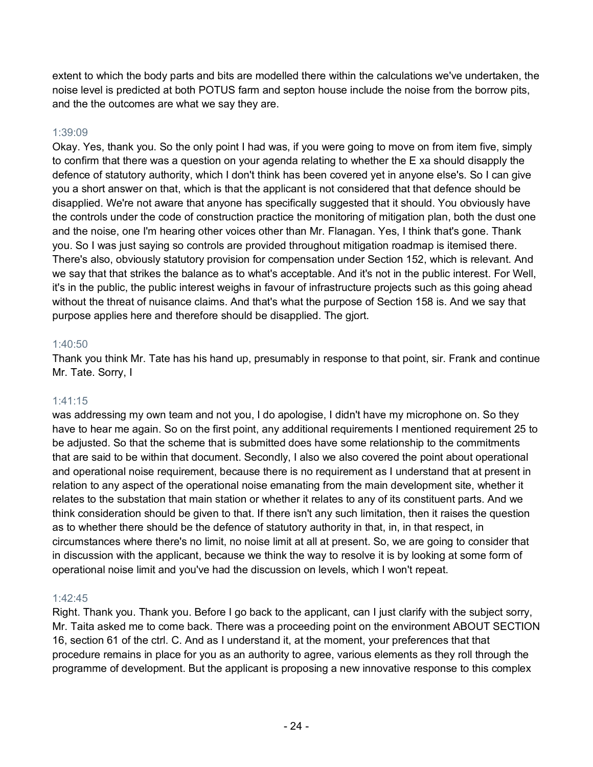extent to which the body parts and bits are modelled there within the calculations we've undertaken, the noise level is predicted at both POTUS farm and septon house include the noise from the borrow pits, and the the outcomes are what we say they are.

# 1:39:09

Okay. Yes, thank you. So the only point I had was, if you were going to move on from item five, simply to confirm that there was a question on your agenda relating to whether the E xa should disapply the defence of statutory authority, which I don't think has been covered yet in anyone else's. So I can give you a short answer on that, which is that the applicant is not considered that that defence should be disapplied. We're not aware that anyone has specifically suggested that it should. You obviously have the controls under the code of construction practice the monitoring of mitigation plan, both the dust one and the noise, one I'm hearing other voices other than Mr. Flanagan. Yes, I think that's gone. Thank you. So I was just saying so controls are provided throughout mitigation roadmap is itemised there. There's also, obviously statutory provision for compensation under Section 152, which is relevant. And we say that that strikes the balance as to what's acceptable. And it's not in the public interest. For Well, it's in the public, the public interest weighs in favour of infrastructure projects such as this going ahead without the threat of nuisance claims. And that's what the purpose of Section 158 is. And we say that purpose applies here and therefore should be disapplied. The gjort.

## 1:40:50

Thank you think Mr. Tate has his hand up, presumably in response to that point, sir. Frank and continue Mr. Tate. Sorry, I

## 1:41:15

was addressing my own team and not you, I do apologise, I didn't have my microphone on. So they have to hear me again. So on the first point, any additional requirements I mentioned requirement 25 to be adjusted. So that the scheme that is submitted does have some relationship to the commitments that are said to be within that document. Secondly, I also we also covered the point about operational and operational noise requirement, because there is no requirement as I understand that at present in relation to any aspect of the operational noise emanating from the main development site, whether it relates to the substation that main station or whether it relates to any of its constituent parts. And we think consideration should be given to that. If there isn't any such limitation, then it raises the question as to whether there should be the defence of statutory authority in that, in, in that respect, in circumstances where there's no limit, no noise limit at all at present. So, we are going to consider that in discussion with the applicant, because we think the way to resolve it is by looking at some form of operational noise limit and you've had the discussion on levels, which I won't repeat.

## 1:42:45

Right. Thank you. Thank you. Before I go back to the applicant, can I just clarify with the subject sorry, Mr. Taita asked me to come back. There was a proceeding point on the environment ABOUT SECTION 16, section 61 of the ctrl. C. And as I understand it, at the moment, your preferences that that procedure remains in place for you as an authority to agree, various elements as they roll through the programme of development. But the applicant is proposing a new innovative response to this complex